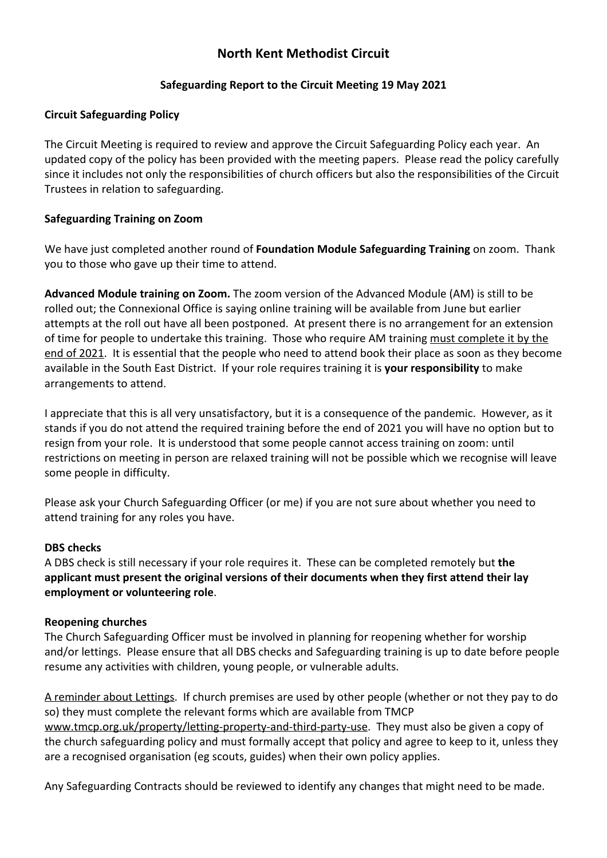# **North Kent Methodist Circuit**

# **Safeguarding Report to the Circuit Meeting 19 May 2021**

## **Circuit Safeguarding Policy**

The Circuit Meeting is required to review and approve the Circuit Safeguarding Policy each year. An updated copy of the policy has been provided with the meeting papers. Please read the policy carefully since it includes not only the responsibilities of church officers but also the responsibilities of the Circuit Trustees in relation to safeguarding.

### **Safeguarding Training on Zoom**

We have just completed another round of **Foundation Module Safeguarding Training** on zoom. Thank you to those who gave up their time to attend.

**Advanced Module training on Zoom.** The zoom version of the Advanced Module (AM) is still to be rolled out; the Connexional Office is saying online training will be available from June but earlier attempts at the roll out have all been postponed. At present there is no arrangement for an extension of time for people to undertake this training. Those who require AM training must complete it by the end of 2021. It is essential that the people who need to attend book their place as soon as they become available in the South East District. If your role requires training it is **your responsibility** to make arrangements to attend.

I appreciate that this is all very unsatisfactory, but it is a consequence of the pandemic. However, as it stands if you do not attend the required training before the end of 2021 you will have no option but to resign from your role. It is understood that some people cannot access training on zoom: until restrictions on meeting in person are relaxed training will not be possible which we recognise will leave some people in difficulty.

Please ask your Church Safeguarding Officer (or me) if you are not sure about whether you need to attend training for any roles you have.

#### **DBS checks**

A DBS check is still necessary if your role requires it. These can be completed remotely but **the applicant must present the original versions of their documents when they first attend their lay employment or volunteering role**.

#### **Reopening churches**

The Church Safeguarding Officer must be involved in planning for reopening whether for worship and/or lettings. Please ensure that all DBS checks and Safeguarding training is up to date before people resume any activities with children, young people, or vulnerable adults.

A reminder about Lettings. If church premises are used by other people (whether or not they pay to do so) they must complete the relevant forms which are available from TMCP [www.tmcp.org.uk/property/letting-property-and-third-party-use](http://www.tmcp.org.uk/property/letting-property-and-third-party-use). They must also be given a copy of the church safeguarding policy and must formally accept that policy and agree to keep to it, unless they are a recognised organisation (eg scouts, guides) when their own policy applies.

Any Safeguarding Contracts should be reviewed to identify any changes that might need to be made.